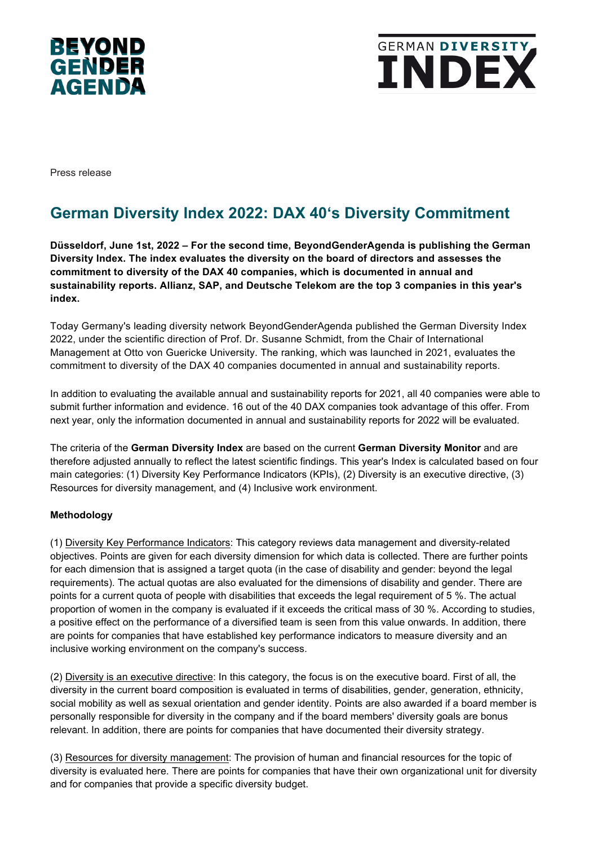



Press release

# **German Diversity Index 2022: DAX 40's Diversity Commitment**

**Düsseldorf, June 1st, 2022 – For the second time, BeyondGenderAgenda is publishing the German Diversity Index. The index evaluates the diversity on the board of directors and assesses the commitment to diversity of the DAX 40 companies, which is documented in annual and sustainability reports. Allianz, SAP, and Deutsche Telekom are the top 3 companies in this year's index.**

Today Germany's leading diversity network BeyondGenderAgenda published the German Diversity Index 2022, under the scientific direction of Prof. Dr. Susanne Schmidt, from the Chair of International Management at Otto von Guericke University. The ranking, which was launched in 2021, evaluates the commitment to diversity of the DAX 40 companies documented in annual and sustainability reports.

In addition to evaluating the available annual and sustainability reports for 2021, all 40 companies were able to submit further information and evidence. 16 out of the 40 DAX companies took advantage of this offer. From next year, only the information documented in annual and sustainability reports for 2022 will be evaluated.

The criteria of the **German Diversity Index** are based on the current **German Diversity Monitor** and are therefore adjusted annually to reflect the latest scientific findings. This year's Index is calculated based on four main categories: (1) Diversity Key Performance Indicators (KPIs), (2) Diversity is an executive directive, (3) Resources for diversity management, and (4) Inclusive work environment.

## **Methodology**

(1) Diversity Key Performance Indicators: This category reviews data management and diversity-related objectives. Points are given for each diversity dimension for which data is collected. There are further points for each dimension that is assigned a target quota (in the case of disability and gender: beyond the legal requirements). The actual quotas are also evaluated for the dimensions of disability and gender. There are points for a current quota of people with disabilities that exceeds the legal requirement of 5 %. The actual proportion of women in the company is evaluated if it exceeds the critical mass of 30 %. According to studies, a positive effect on the performance of a diversified team is seen from this value onwards. In addition, there are points for companies that have established key performance indicators to measure diversity and an inclusive working environment on the company's success.

(2) Diversity is an executive directive: In this category, the focus is on the executive board. First of all, the diversity in the current board composition is evaluated in terms of disabilities, gender, generation, ethnicity, social mobility as well as sexual orientation and gender identity. Points are also awarded if a board member is personally responsible for diversity in the company and if the board members' diversity goals are bonus relevant. In addition, there are points for companies that have documented their diversity strategy.

(3) Resources for diversity management: The provision of human and financial resources for the topic of diversity is evaluated here. There are points for companies that have their own organizational unit for diversity and for companies that provide a specific diversity budget.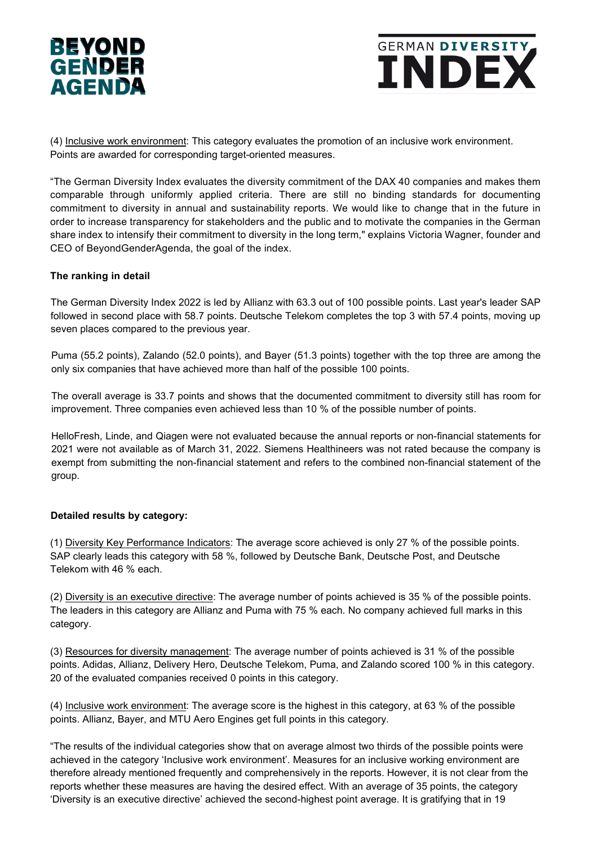



(4) Inclusive work environment: This category evaluates the promotion of an inclusive work environment. Points are awarded for corresponding target-oriented measures.

"The German Diversity Index evaluates the diversity commitment of the DAX 40 companies and makes them comparable through uniformly applied criteria. There are still no binding standards for documenting commitment to diversity in annual and sustainability reports. We would like to change that in the future in order to increase transparency for stakeholders and the public and to motivate the companies in the German share index to intensify their commitment to diversity in the long term," explains Victoria Wagner, founder and CEO of BeyondGenderAgenda, the goal of the index.

## **The ranking in detail**

The German Diversity Index 2022 is led by Allianz with 63.3 out of 100 possible points. Last year's leader SAP followed in second place with 58.7 points. Deutsche Telekom completes the top 3 with 57.4 points, moving up seven places compared to the previous year.

Puma (55.2 points), Zalando (52.0 points), and Bayer (51.3 points) together with the top three are among the only six companies that have achieved more than half of the possible 100 points.

The overall average is 33.7 points and shows that the documented commitment to diversity still has room for improvement. Three companies even achieved less than 10 % of the possible number of points.

HelloFresh, Linde, and Qiagen were not evaluated because the annual reports or non-financial statements for 2021 were not available as of March 31, 2022. Siemens Healthineers was not rated because the company is exempt from submitting the non-financial statement and refers to the combined non-financial statement of the group.

## **Detailed results by category:**

(1) Diversity Key Performance Indicators: The average score achieved is only 27 % of the possible points. SAP clearly leads this category with 58 %, followed by Deutsche Bank, Deutsche Post, and Deutsche Telekom with 46 % each.

(2) Diversity is an executive directive: The average number of points achieved is 35 % of the possible points. The leaders in this category are Allianz and Puma with 75 % each. No company achieved full marks in this category.

(3) Resources for diversity management: The average number of points achieved is 31 % of the possible points. Adidas, Allianz, Delivery Hero, Deutsche Telekom, Puma, and Zalando scored 100 % in this category. 20 of the evaluated companies received 0 points in this category.

(4) Inclusive work environment: The average score is the highest in this category, at 63 % of the possible points. Allianz, Bayer, and MTU Aero Engines get full points in this category.

"The results of the individual categories show that on average almost two thirds of the possible points were achieved in the category 'Inclusive work environment'. Measures for an inclusive working environment are therefore already mentioned frequently and comprehensively in the reports. However, it is not clear from the reports whether these measures are having the desired effect. With an average of 35 points, the category 'Diversity is an executive directive' achieved the second-highest point average. It is gratifying that in 19